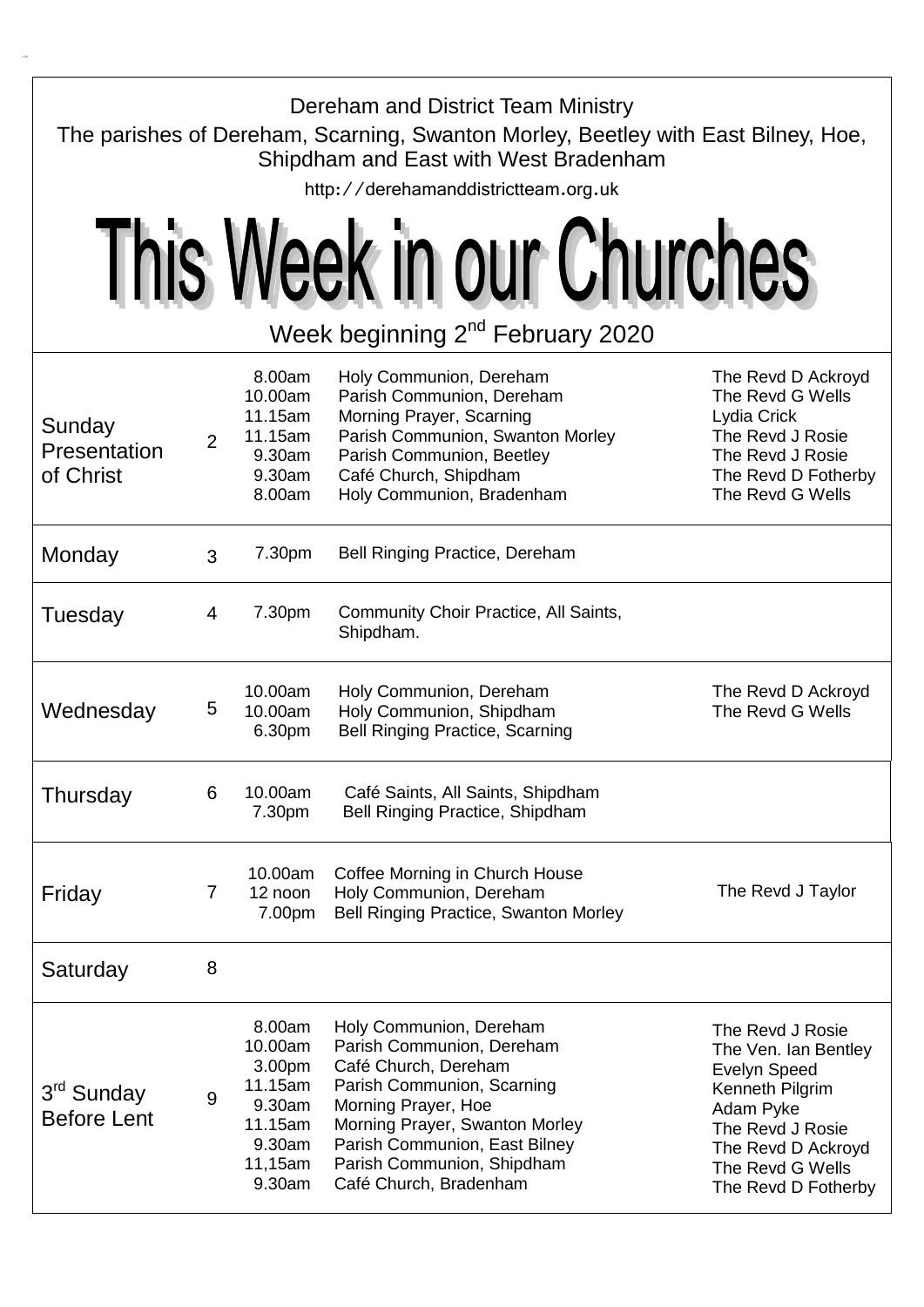| Dereham and District Team Ministry<br>The parishes of Dereham, Scarning, Swanton Morley, Beetley with East Bilney, Hoe,<br>Shipdham and East with West Bradenham<br>http://derehamanddistrictteam.org.uk |                |                                                                                            |                                                                                                                                                                                                                                                              |                                                                                                                                                                                      |  |  |  |
|----------------------------------------------------------------------------------------------------------------------------------------------------------------------------------------------------------|----------------|--------------------------------------------------------------------------------------------|--------------------------------------------------------------------------------------------------------------------------------------------------------------------------------------------------------------------------------------------------------------|--------------------------------------------------------------------------------------------------------------------------------------------------------------------------------------|--|--|--|
| This Week in our Churches                                                                                                                                                                                |                |                                                                                            |                                                                                                                                                                                                                                                              |                                                                                                                                                                                      |  |  |  |
| Week beginning 2 <sup>nd</sup> February 2020                                                                                                                                                             |                |                                                                                            |                                                                                                                                                                                                                                                              |                                                                                                                                                                                      |  |  |  |
| Sunday<br>Presentation<br>of Christ                                                                                                                                                                      | $\overline{2}$ | 8.00am<br>10.00am<br>11.15am<br>11.15am<br>9.30am<br>9.30am<br>8.00am                      | Holy Communion, Dereham<br>Parish Communion, Dereham<br>Morning Prayer, Scarning<br>Parish Communion, Swanton Morley<br>Parish Communion, Beetley<br>Café Church, Shipdham<br>Holy Communion, Bradenham                                                      | The Revd D Ackroyd<br>The Revd G Wells<br>Lydia Crick<br>The Revd J Rosie<br>The Revd J Rosie<br>The Revd D Fotherby<br>The Revd G Wells                                             |  |  |  |
| Monday                                                                                                                                                                                                   | 3              | 7.30pm                                                                                     | <b>Bell Ringing Practice, Dereham</b>                                                                                                                                                                                                                        |                                                                                                                                                                                      |  |  |  |
| Tuesday                                                                                                                                                                                                  | 4              | 7.30pm                                                                                     | Community Choir Practice, All Saints,<br>Shipdham.                                                                                                                                                                                                           |                                                                                                                                                                                      |  |  |  |
| Wednesday                                                                                                                                                                                                | 5              | 10.00am<br>10.00am<br>6.30pm                                                               | Holy Communion, Dereham<br>Holy Communion, Shipdham<br><b>Bell Ringing Practice, Scarning</b>                                                                                                                                                                | The Revd D Ackroyd<br>The Revd G Wells                                                                                                                                               |  |  |  |
| Thursday                                                                                                                                                                                                 | 6              | 10.00am<br>7.30pm                                                                          | Café Saints, All Saints, Shipdham<br>Bell Ringing Practice, Shipdham                                                                                                                                                                                         |                                                                                                                                                                                      |  |  |  |
| Friday                                                                                                                                                                                                   | 7              | 10.00am<br>12 noon<br>7.00pm                                                               | Coffee Morning in Church House<br>Holy Communion, Dereham<br>Bell Ringing Practice, Swanton Morley                                                                                                                                                           | The Revd J Taylor                                                                                                                                                                    |  |  |  |
| Saturday                                                                                                                                                                                                 | 8              |                                                                                            |                                                                                                                                                                                                                                                              |                                                                                                                                                                                      |  |  |  |
| 3rd Sunday<br><b>Before Lent</b>                                                                                                                                                                         | 9              | 8.00am<br>10.00am<br>3.00pm<br>11.15am<br>9.30am<br>11.15am<br>9.30am<br>11,15am<br>9.30am | Holy Communion, Dereham<br>Parish Communion, Dereham<br>Café Church, Dereham<br>Parish Communion, Scarning<br>Morning Prayer, Hoe<br>Morning Prayer, Swanton Morley<br>Parish Communion, East Bilney<br>Parish Communion, Shipdham<br>Café Church, Bradenham | The Revd J Rosie<br>The Ven. Ian Bentley<br><b>Evelyn Speed</b><br>Kenneth Pilgrim<br>Adam Pyke<br>The Revd J Rosie<br>The Revd D Ackroyd<br>The Revd G Wells<br>The Revd D Fotherby |  |  |  |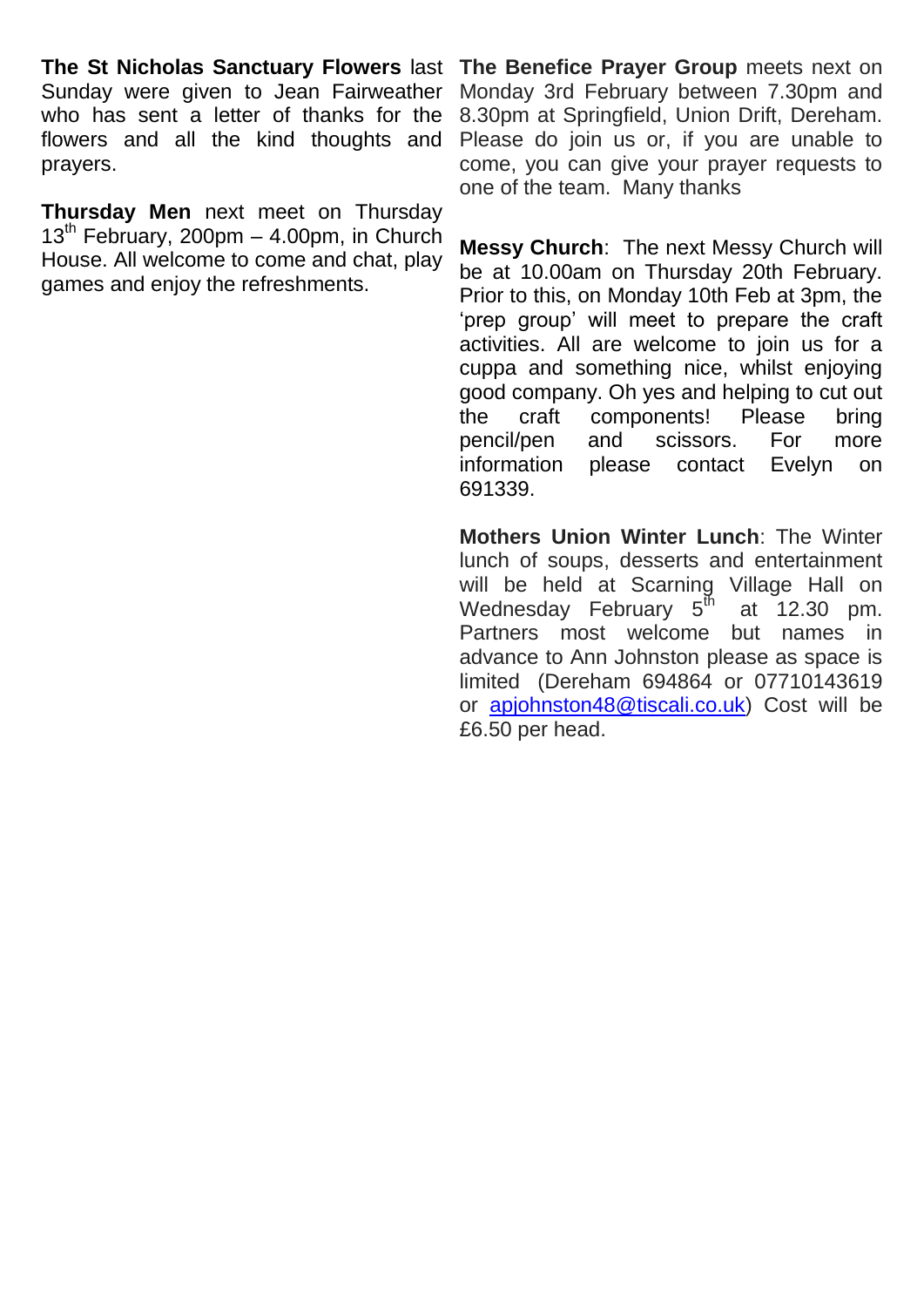Sunday were given to Jean Fairweather who has sent a letter of thanks for the flowers and all the kind thoughts and prayers.

**Thursday Men** next meet on Thursday  $13<sup>th</sup>$  February, 200pm – 4.00pm, in Church House. All welcome to come and chat, play games and enjoy the refreshments.

**The St Nicholas Sanctuary Flowers** last **The Benefice Prayer Group** meets next on Monday 3rd February between 7.30pm and 8.30pm at Springfield, Union Drift, Dereham. Please do join us or, if you are unable to come, you can give your prayer requests to one of the team. Many thanks

> **Messy Church**: The next Messy Church will be at 10.00am on Thursday 20th February. Prior to this, on Monday 10th Feb at 3pm, the 'prep group' will meet to prepare the craft activities. All are welcome to join us for a cuppa and something nice, whilst enjoying good company. Oh yes and helping to cut out the craft components! Please bring pencil/pen and scissors. For more information please contact Evelyn on 691339.

> **Mothers Union Winter Lunch**: The Winter lunch of soups, desserts and entertainment will be held at Scarning Village Hall on Wednesday February  $5^{\text{th}}$  at 12.30 pm. Partners most welcome but names in advance to Ann Johnston please as space is limited (Dereham 694864 or 07710143619 or [apjohnston48@tiscali.co.uk\)](mailto:apjohnston48@tiscali.co.uk) Cost will be £6.50 per head.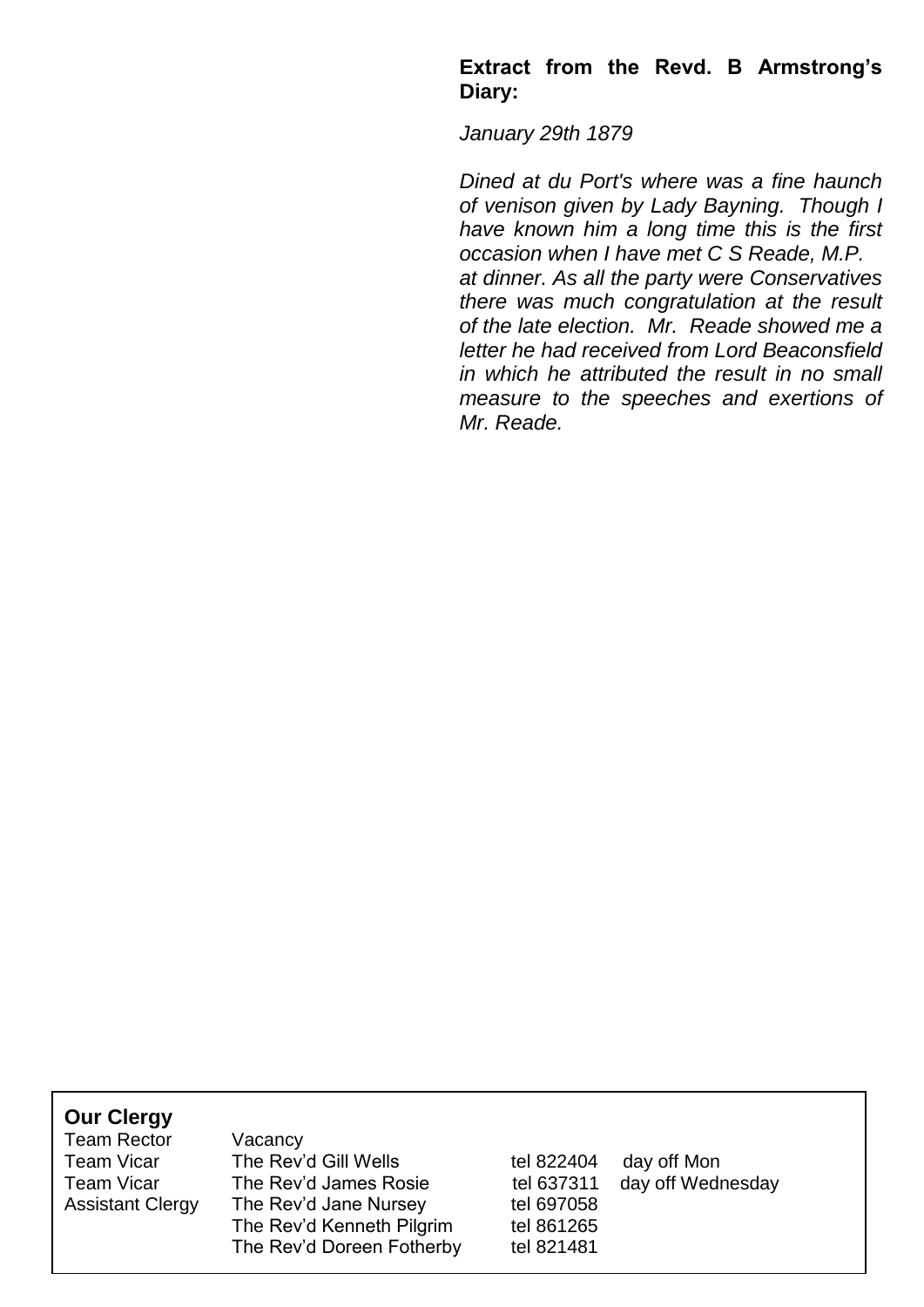#### **Extract from the Revd. B Armstrong's Diary:**

*January 29th 1879*

*Dined at du Port's where was a fine haunch of venison given by Lady Bayning. Though I have known him a long time this is the first occasion when I have met C S Reade, M.P. at dinner. As all the party were Conservatives there was much congratulation at the result of the late election. Mr. Reade showed me a letter he had received from Lord Beaconsfield in which he attributed the result in no small measure to the speeches and exertions of Mr. Reade.*

| <b>Our Clergy</b><br><b>Team Rector</b><br><b>Team Vicar</b><br><b>Team Vicar</b><br><b>Assistant Clergy</b> | Vacancy<br>The Rev'd Gill Wells<br>The Rev'd James Rosie<br>The Rev'd Jane Nursey<br>The Rev'd Kenneth Pilgrim<br>The Rev'd Doreen Fotherby | tel 822404<br>tel 637311<br>tel 697058<br>tel 861265<br>tel 821481 | day off Mon<br>day off Wednesday |  |
|--------------------------------------------------------------------------------------------------------------|---------------------------------------------------------------------------------------------------------------------------------------------|--------------------------------------------------------------------|----------------------------------|--|
|                                                                                                              |                                                                                                                                             |                                                                    |                                  |  |